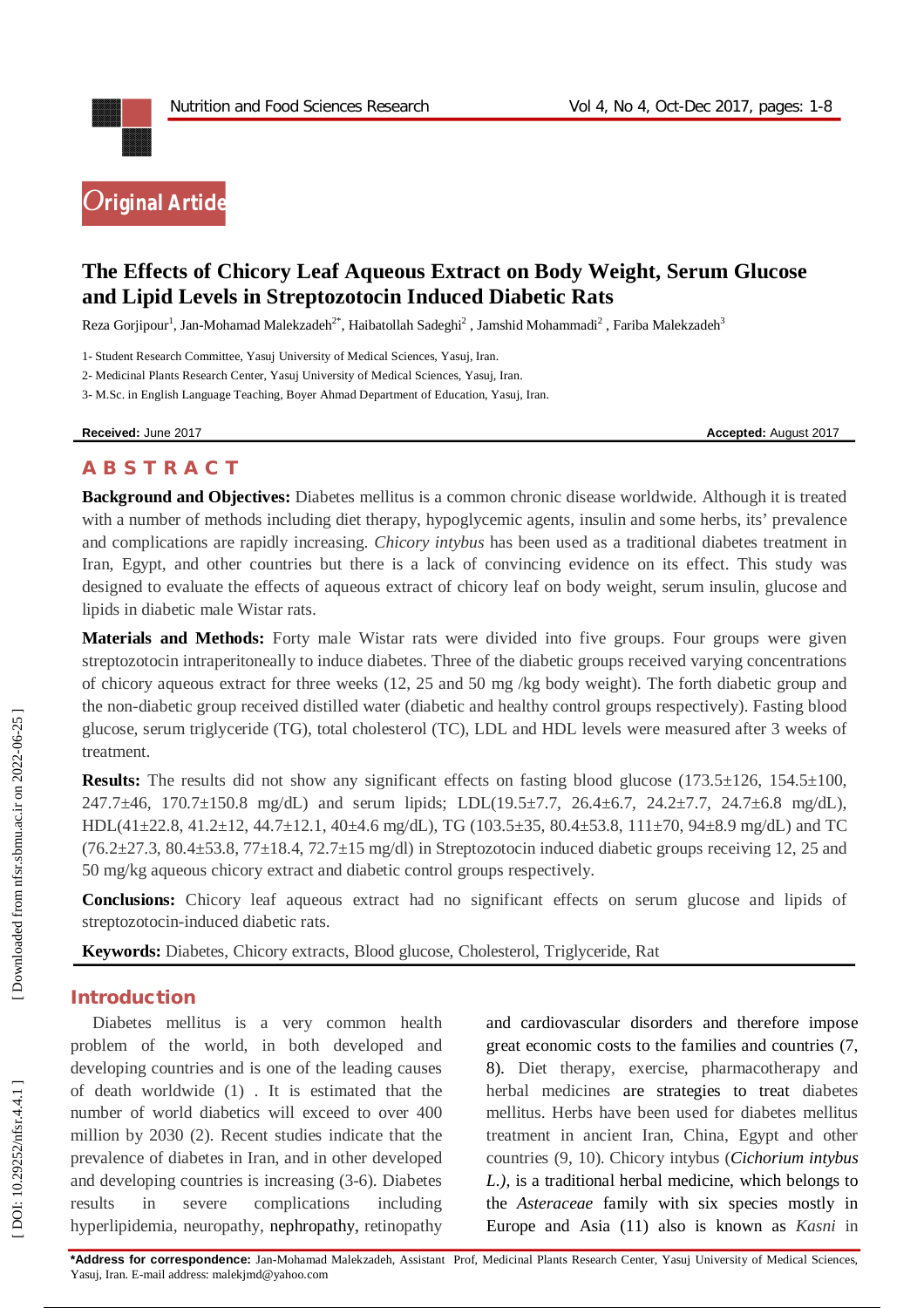

# **The Effects of Chicory Leaf Aqueous Extract on Body Weight, Serum Glucose and Lipid Levels in Streptozotocin Induced Diabetic Rats**

Reza Gorjipour<sup>1</sup>, Jan-Mohamad Malekzadeh $^{2^*}$ , Haibatollah Sadeghi $^2$  , Jamshid Mohammadi $^2$  , Fariba Malekzadeh $^3$ 

1 - Student Research Committee, Yasuj University of Medical Sciences, Yasuj, Iran.

2 - Medicinal Plants Research Center, Yasuj University of Medical Sciences, Yasuj, Iran.

3 - M.Sc. in English Language Teaching, Boyer Ahmad Department of Education, Yasuj, Iran.

**Received:** June 201

7 **Accepted:** August 201 7

# **A B S T R A C T**

**Background and Objectives:** Diabetes mellitus is a common chronic disease worldwide. Although it is treated with a number of methods including diet therapy, hypoglycemic agents, insulin and some herbs, its' prevalence and complications are rapidly increasing. *Chicory intybus* has been used as a traditional diabetes treatment in Iran, Egypt, and other countries but there is a lack of convincing evidence on its effect. This study was designed to evaluate the effects of aqueous extract of chicory leaf on body weight, serum insulin, glucose and lipids in diabetic male Wistar rats.

**Materials and Methods:** Forty male Wistar rats were divided into five groups. Four groups were given streptozotocin intraperitoneally to induce diabetes. Three of the diabetic groups received varying concentrations of chicory aqueous extract for three weeks (12, 25 and 50 mg /kg body weight). The forth diabetic group and the non -diabetic group received distilled water (diabetic and healthy control groups respectively). Fasting blood glucose, serum triglyceride (TG), total cholesterol (TC), LDL and HDL levels were measured after 3 weeks of treatment.

**Results:** The results did not show any significant effects on fasting blood glucose (173.5±126, 154.5±100, 247.7±46, 170.7±150.8 mg/dL) and serum lipids; LDL(19.5±7.7, 26.4±6.7, 24.2±7.7, 24.7±6.8 mg/dL), HDL(41±22.8, 41.2±12, 44.7±12.1, 40±4.6 mg/dL), TG (103.5±35, 80.4±53.8, 111±70, 94±8.9 mg/dL) and TC  $(76.2\pm 27.3, 80.4\pm 53.8, 77\pm 18.4, 72.7\pm 15 \text{ mg/dl})$  in Streptozotocin induced diabetic groups receiving 12, 25 and 50 mg/kg aqueous chicory extract and diabetic control groups respectively.

**Conclusions:** Chicory leaf aqueous extract had no significant effects on serum glucose and lipids of streptozotocin -induced diabetic rats.

**Keywords:** Diabetes, Chicory extracts, Blood glucose, Cholesterol, Triglyceride, Rat

### **Introduction**

Diabetes mellitus is a very common health problem of the world, in both developed and developing countries and is one of the leading causes of death worldwide (1) . It is estimated that the number of world diabetics will exceed to over 400 million by 2030 (2). Recent studies indicate that the prevalence of diabetes in Iran, and in other developed and developing countries is increasing (3 -6). Diabetes results in severe complications including hyperlipidemia, neuropathy, nephropathy, retinopathy

and cardiovascular disorders and therefore impose great economic costs to the families and countries (7, 8). Diet therapy, exercise, pharmacotherapy and herbal medicines are strategies to treat diabetes mellitus. Herbs have been used for diabetes mellitus treatment in ancient Iran, China, Egypt and other countries (9, 10). Chicory intybus (*Cichorium intybus L.),* is a traditional herbal medicine, which belongs to the *Asteraceae* family with six species mostly in Europe and Asia (11) also is known as *Kasni* in

**\*Address for correspondence:** Jan -Mohamad Malekzadeh , Assistant Prof, Medicinal Plants Research Center, Yasuj University of Medical Sciences, Yasuj, Iran . E -mail address: malekjmd@yahoo.com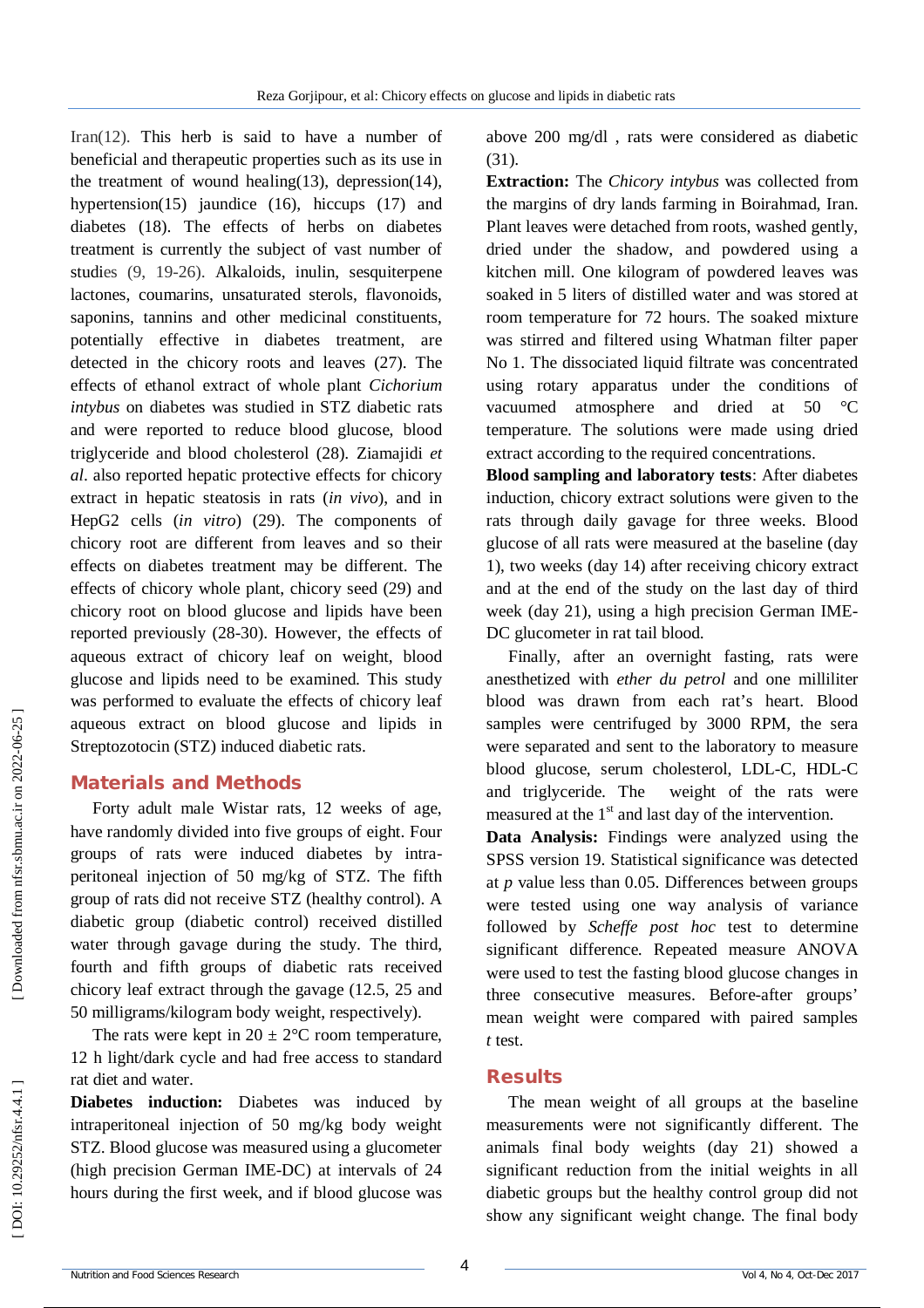Iran(12) . This herb is said to have a number of beneficial and therapeutic properties such as its use in the treatment of wound healing(13), depression(14), hypertension(15) jaundice (16), hiccups (17) and diabetes (18). The effects of herbs on diabetes treatment is currently the subject of vast number of studies (9, 1 9 -26). Alkaloids, inulin, sesquiterpene lactones, coumarins, unsaturated sterols, flavonoids, saponins, tannins and other medicinal constituents, potentially effective in diabetes treatment, are detected in the chicory roots and leaves (27). The effects of ethanol extract of whole plant *Cichorium intybus* on diabetes was studied in STZ diabetic rats and were reported to reduce blood glucose, blood triglyceride and blood cholesterol (28). Ziamajidi *et al* . also reported hepatic protective effects for chicory extract in hepatic steatosis in rats (*in vivo*), and in HepG2 cells (*in vitro*) (29) . The components of chicory root are different from leaves and so their effects on diabetes treatment may be different. The effects of chicory whole plant, chicory seed (29) and chicory root on blood glucose and lipids have been reported previously (28 -30). However, the effects of aqueous extract of chicory leaf on weight, blood glucose and lipids need to be examined. This study was performed to evaluate the effects of chicory leaf aqueous extract on blood glucose and lipids in Streptozotocin (STZ) induced diabetic rats.

#### **Material s and Methods**

Forty adult male Wistar rats, 12 weeks of age, have randomly divided into five groups of eight. Four groups of rats were induced diabetes by intra peritoneal injection of 50 mg/kg of STZ. The fifth group of rats did not receive STZ (healthy control). A diabetic group (diabetic control) received distilled water through gavage during the study. The third, fourth and fifth groups of diabetic rats received chicory leaf extract through the gavage (12.5, 25 and 50 milligrams/kilogram body weight, respectively).

The rats were kept in  $20 \pm 2$ °C room temperature, 12 h light/dark cycle and had free access to standard rat diet and water.

**Diabetes induction:** Diabetes was induced by intraperitoneal injection of 50 mg/kg body weight STZ. Blood glucose was measured using a glucometer (high precision German IME -DC) at intervals of 24 hours during the first week, and if blood glucose was

above 200 mg/dl , rats were considered as diabetic (31) .

**Extraction:** The *Chicory intybus* was collected from the margins of dry lands farming in Boirahmad, Iran. Plant leaves were detached from roots, washed gently, dried under the shadow, and powdered using a kitchen mill. One kilogram of powdered leaves was soaked in 5 liters of distilled water and was stored at room temperature for 72 hours. The soaked mixture was stirred and filtered using Whatman filter paper No 1. The dissociated liquid filtrate was concentrated using rotary apparatus under the conditions of vacuumed atmosphere and dried at 50 °C temperature. The solutions were made using dried extract according to the required concentrations.

**Blood sampling and laboratory tests**: After diabetes induction, chicory extract solutions were given to the rats through daily gavage for three weeks. Blood glucose of all rats were measured at the baseline (day 1), two weeks (day 14) after receiving chicory extract and at the end of the study on the last day of third week (day 21), using a high precision German IME - DC glucometer in rat tail blood.

Finally, after an overnight fasting, rats were anesthetized with *ether du petrol* and one milliliter blood was drawn from each rat's heart. Blood samples were centrifuged by 3000 RPM, the sera were separated and sent to the laboratory to measure blood glucose, serum cholesterol, LDL -C, HDL -C and triglyceride. The weight of the rats were measured at the  $1<sup>st</sup>$  and last day of the intervention.

**Data Analysis:** Findings were analyzed using the SPSS version 19. Statistical significance was detected at *p* value less than 0.05. Differences between groups were tested using one way analysis of variance followed by *Scheffe post hoc* test to determine significant difference. Repeated measure ANOVA were used to test the fasting blood glucose changes in three consecutive measures. Before -after groups' mean weight were compared with paired samples *t* test.

#### **Results**

The mean weight of all groups at the baseline measurements were not significantly different. The animals final body weights (day 21) showed a significant reduction from the initial weights in all diabetic groups but the healthy control group did not show any significant weight change. The final body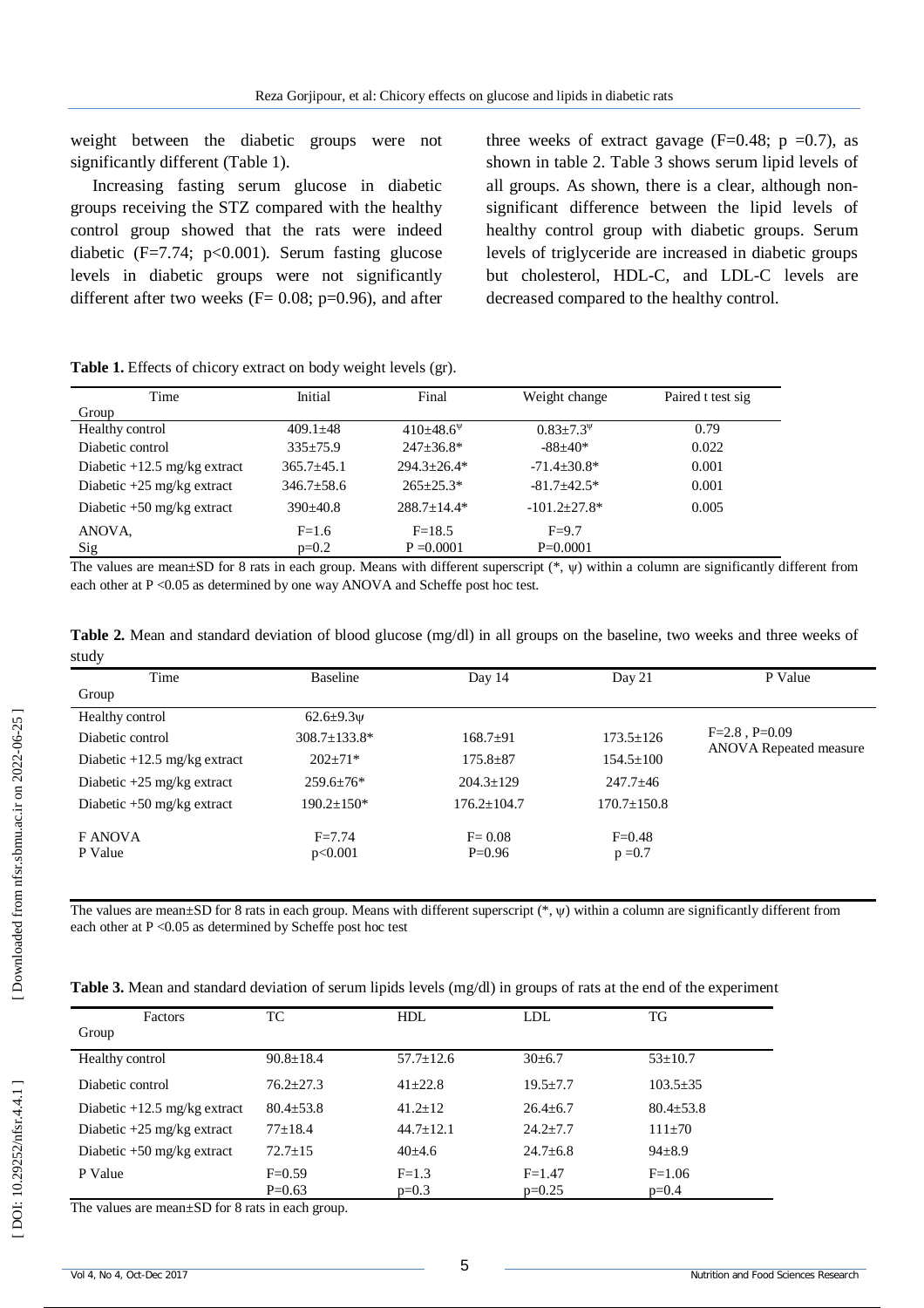weight between the diabetic groups were not significantly different (Table 1).

Increasing fasting serum glucose in diabetic groups receiving the STZ compared with the healthy control group showed that the rats were indeed diabetic  $(F=7.74; p<0.001)$ . Serum fasting glucose levels in diabetic groups were not significantly different after two weeks ( $F = 0.08$ ; p=0.96), and after three weeks of extract gavage ( $F=0.48$ ;  $p = 0.7$ ), as shown in table 2. Table 3 shows serum lipid levels of all groups. As shown, there is a clear, although non significant difference between the lipid levels of healthy control group with diabetic groups. Serum levels of triglyceride are increased in diabetic groups but cholesterol, HDL -C, and LDL -C levels are decreased compared to the healthy control.

**Table 1 .** Effects of chicory extract on body weight levels (gr). Time Group Initial Final Weight change Paired t test sig Healthy control  $409.1\pm48$  $410\pm48.6^{\circ}$  $0.83 \pm 7.3^{\psi}$ 0.79 Diabetic control 335±75.9 247±36.8\* -88±40\* 0.022 Diabetic +12.5 mg/kg extract  $365.7 \pm 45.1$ 294.3±26.4\* -71.4±30.8\* 0.001 Diabetic +25 mg/kg extract  $346.7 \pm 58.6$   $265 \pm 25.3^*$ -81.7±42.5\* 0.001 Diabetic +50 mg/kg extract 390±40.8 288.7±14.4\*  $-101.2 \pm 27.8$ \* 0.005 ANOVA,  $F=1.6$  $F-18.5$  $F=9.7$ 

p=0.2

The values are mean $\pm SD$  for 8 rats in each group. Means with different superscript  $(*, \psi)$  within a column are significantly different from each other at  $P \le 0.05$  as determined by one way ANOVA and Scheffe post hoc test.

P=0.0001

 $P = 0.0001$ 

**Table 2 .** Mean and standard deviation of blood glucose (mg/dl) in all groups on the baseline, two weeks and three weeks of study

| Time                           | <b>Baseline</b>       | Day 14                 | Day 21                  | P Value                                             |
|--------------------------------|-----------------------|------------------------|-------------------------|-----------------------------------------------------|
| Group                          |                       |                        |                         |                                                     |
| Healthy control                | 62.6 $\pm$ 9.3 $\psi$ |                        |                         |                                                     |
| Diabetic control               | 308.7±133.8*          | $168.7+91$             | $173.5 \pm 126$         | $F=2.8$ , $P=0.09$<br><b>ANOVA</b> Repeated measure |
| Diabetic $+12.5$ mg/kg extract | $202 \pm 71*$         | $175.8 \pm 87$         | $154.5 \pm 100$         |                                                     |
| Diabetic $+25$ mg/kg extract   | $259.6 \pm 76*$       | $204.3 \pm 129$        | $247.7 \pm 46$          |                                                     |
| Diabetic $+50$ mg/kg extract   | $190.2 \pm 150*$      | $176.2 \pm 104.7$      | $170.7 \pm 150.8$       |                                                     |
| F ANOVA<br>P Value             | $F = 7.74$<br>p<0.001 | $F = 0.08$<br>$P=0.96$ | $F = 0.48$<br>$p = 0.7$ |                                                     |

The values are mean $\pm SD$  for 8 rats in each group. Means with different superscript  $(*,\psi)$  within a column are significantly different from each other at P < 0.05 as determined by Scheffe post hoc test

| Table 3. Mean and standard deviation of serum lipids levels (mg/dl) in groups of rats at the end of the experiment |  |  |
|--------------------------------------------------------------------------------------------------------------------|--|--|
|--------------------------------------------------------------------------------------------------------------------|--|--|

| Factors                        | TC              | <b>HDL</b>      | LDL.         | TG              |
|--------------------------------|-----------------|-----------------|--------------|-----------------|
| Group                          |                 |                 |              |                 |
| Healthy control                | $90.8 \pm 18.4$ | $57.7 \pm 12.6$ | $30\pm 6.7$  | $53 \pm 10.7$   |
| Diabetic control               | $76.2 + 27.3$   | $41 + 22.8$     | $19.5 + 7.7$ | $103.5 \pm 35$  |
| Diabetic $+12.5$ mg/kg extract | $80.4 + 53.8$   | $41.2 + 12$     | $26.4 + 6.7$ | $80.4 \pm 53.8$ |
| Diabetic $+25$ mg/kg extract   | $77+18.4$       | $44.7+12.1$     | $24.2 + 7.7$ | $111+70$        |
| Diabetic $+50$ mg/kg extract   | $72.7 + 15$     | $40\pm4.6$      | $24.7 + 6.8$ | $94 \pm 8.9$    |
| P Value                        | $F=0.59$        | $F=1.3$         | $F = 1.47$   | $F = 1.06$      |
|                                | $P=0.63$        | $p=0.3$         | $p=0.25$     | $p=0.4$         |

The values are mean±SD for 8 rats in each group.

Sig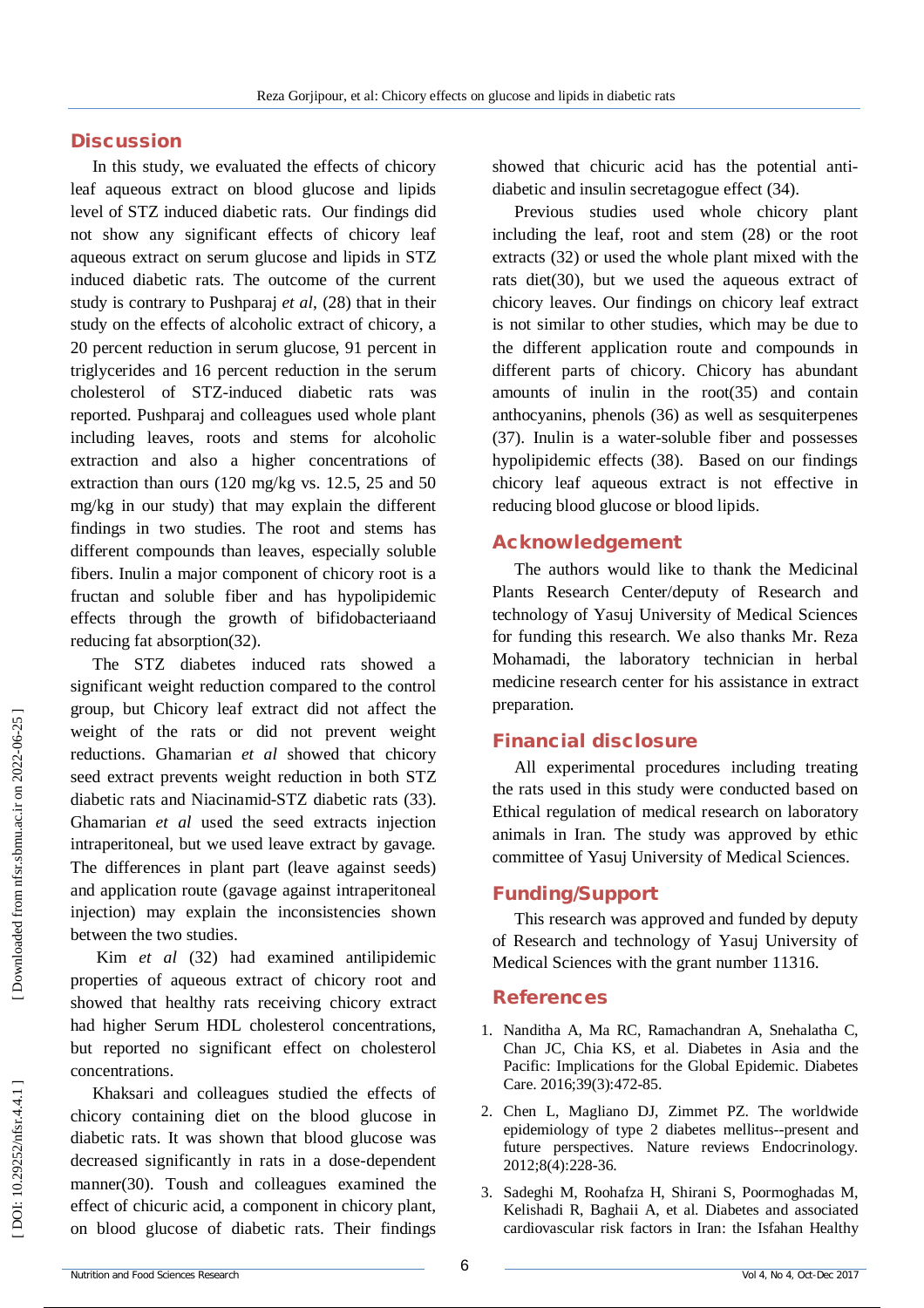## **Discussion**

In this study, we evaluated the effects of chicory leaf aqueous extract on blood glucose and lipids level of STZ induced diabetic rats. Our findings did not show any significant effects of chicory leaf aqueous extract on serum glucose and lipids in STZ induced diabetic rats . The outcome of the current study is contrary to Pushparaj *et al*, (28) that in their study on the effects of alcoholic extract of chicory, a 20 percent reduction in serum glucose, 91 percent in triglycerides and 16 percent reduction in the serum cholesterol of STZ -induced diabetic rats was reported. Pushparaj and colleagues used whole plant including leaves, roots and stems for alcoholic extraction and also a higher concentrations of extraction than ours (120 mg/kg vs. 12.5, 25 and 50 mg/kg in our study) that may explain the different findings in two studies. The root and stems has different compounds than leaves, especially soluble fibers. Inulin a major component of chicory root is a fructan and soluble fiber and has hypolipidemic effects through the growth of bifidobacteriaand reducing fat absorption(32) .

The STZ diabetes induced rats showed a significant weight reduction compared to the control group, but Chicory leaf extract did not affect the weight of the rats or did not prevent weight reductions. Ghamarian *et al* showed that chicory seed extract prevents weight reduction in both STZ diabetic rats and Niacinamid -STZ diabetic rats (33). Ghamarian *et al* used the seed extracts injection intraperitoneal, but we used leave extract by gavage. The differences in plant part (leave against seeds) and application route (gavage against intraperitoneal injection) may explain the inconsistencies shown between the two studies.

Kim *et al* (32) had examined antilipidemic properties of aqueous extract of chicory root and showed that healthy rats receiving chicory extract had higher Serum HDL cholesterol concentrations, but reported no significant effect on cholesterol concentrations.

Khaksari and colleagues studied the effects of chicory containing diet on the blood glucose in diabetic rats. It was shown that blood glucose was decreased significantly in rats in a dose -dependent manner(30). Toush and colleagues examined the effect of chicuric acid, a component in chicory plant, on blood glucose of diabetic rats. Their findings

showed that chicuric acid has the potential anti diabetic and insulin secretagogue effect (34).

Previous studies used whole chicory plant including the leaf, root and stem (28) or the root extracts (32) or used the whole plant mixed with the rats diet(30), but we used the aqueous extract of chicory leaves. Our findings on chicory leaf extract is not similar to other studies, which may be due to the different application route and compounds in different parts of chicory. Chicory has abundant amounts of inulin in the root(35) and contain anthocyanins, phenols (36) as well as sesquiterpenes (37). Inulin is a water -soluble fiber and possesses hypolipidemic effects (38). Based on our findings chicory leaf aqueous extract is not effective in reducing blood glucose or blood lipids.

### **Acknowledgement**

The authors would like to thank the Medicinal Plants Research Center/deputy of Research and technology of Yasuj University of Medical Sciences for funding this research. We also thanks Mr. Reza Mohamadi, the laboratory technician in herbal medicine research center for his assistance in extract preparation.

### **Financial disclosure**

All experimental procedures including treating the rats used in this study were conducted based on Ethical regulation of medical research on laboratory animals in Iran. The study was approved by ethic committee of Yasuj University of Medical Sciences.

### **Funding/Support**

This research was approved and funded by deputy of Research and technology of Yasuj University of Medical Sciences with the grant number 11316.

#### **References**

- 1. Nanditha A, Ma RC, Ramachandran A, Snehalatha C, Chan JC, Chia KS, et al. Diabetes in Asia and the Pacific: Implications for the Global Epidemic. Diabetes Care. 2016;39(3):472 -85.
- 2. Chen L, Magliano DJ, Zimmet PZ. The worldwide epidemiology of type 2 diabetes mellitus--present and future perspectives. Nature reviews Endocrinology. 2012;8(4):228 -36.
- 3. Sadeghi M, Roohafza H, Shirani S, Poormoghadas M, Kelishadi R, Baghaii A, et al. Diabetes and associated cardiovascular risk factors in Iran: the Isfahan Healthy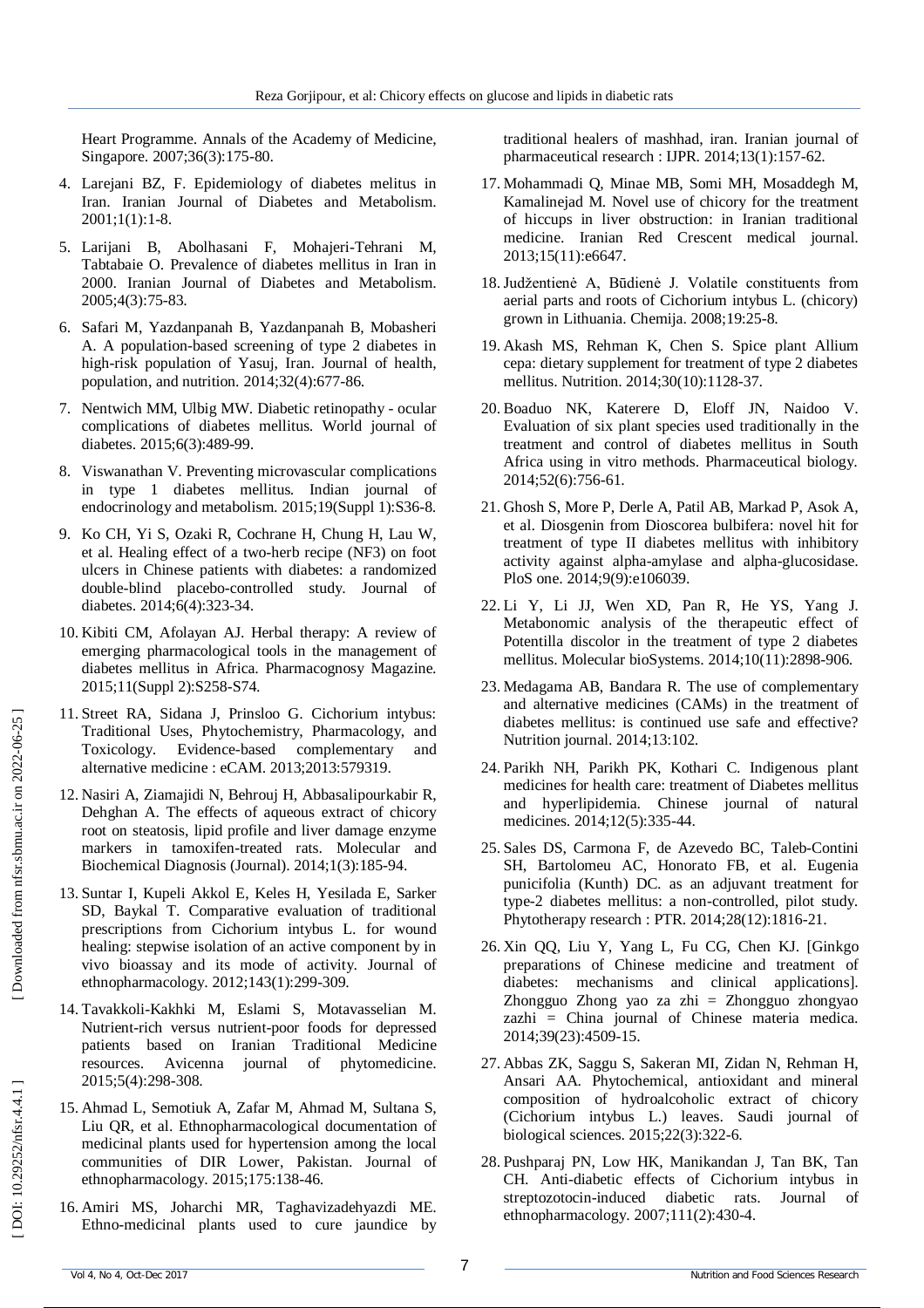Heart Programme. Annals of the Academy of Medicine, Singapore. 2007;36(3):175 -80.

- 4. Larejani BZ, F. Epidemiology of diabetes melitus in Iran. Iranian Journal of Diabetes and Metabolism. 2001;1(1):1 -8.
- 5. Larijani B, Abolhasani F, Mohajeri -Tehrani M, Tabtabaie O. Prevalence of diabetes mellitus in Iran in 2000. Iranian Journal of Diabetes and Metabolism. 2005;4(3):75 -83.
- 6. Safari M, Yazdanpanah B, Yazdanpanah B, Mobasheri A. A population -based screening of type 2 diabetes in high -risk population of Yasuj, Iran. Journal of health, population, and nutrition. 2014;32(4):677 -86.
- 7. Nentwich MM, Ulbig MW. Diabetic retinopathy ocular complications of diabetes mellitus. World journal of diabetes. 2015;6(3):489 -99.
- 8. Viswanathan V. Preventing microvascular complications in type 1 diabetes mellitus. Indian journal of endocrinology and metabolism. 2015;19(Suppl 1):S36 -8.
- 9. Ko CH, Yi S, Ozaki R, Cochrane H, Chung H, Lau W, et al. Healing effect of a two -herb recipe (NF3) on foot ulcers in Chinese patients with diabetes: a randomized double -blind placebo -controlled study. Journal of diabetes. 2014;6(4):323 -34.
- 10. Kibiti CM, Afolayan AJ. Herbal therapy: A review of emerging pharmacological tools in the management of diabetes mellitus in Africa. Pharmacognosy Magazine. 2015;11(Suppl 2):S258 -S74.
- 11. Street RA, Sidana J, Prinsloo G. Cichorium intybus: Traditional Uses, Phytochemistry, Pharmacology, and Toxicology. Evidence -based complementary and alternative medicine : eCAM. 2013;2013:579319.
- 12. Nasiri A, Ziamajidi N, Behrouj H, Abbasalipourkabir R, Dehghan A. The effects of aqueous extract of chicory root on steatosis, lipid profile and liver damage enzyme markers in tamoxifen -treated rats. Molecular and Biochemical Diagnosis (Journal). 2014;1(3):185 -94.
- 13. Suntar I, Kupeli Akkol E, Keles H, Yesilada E, Sarker SD, Baykal T. Comparative evaluation of traditional prescriptions from Cichorium intybus L. for wound healing: stepwise isolation of an active component by in vivo bioassay and its mode of activity. Journal of ethnopharmacology. 2012;143(1):299 -309.
- 14. Tavakkoli -Kakhki M, Eslami S, Motavasselian M. Nutrient -rich versus nutrient -poor foods for depressed patients based on Iranian Traditional Medicine resources. Avicenna journal of phytomedicine. 2015;5(4):298 -308.
- 15. Ahmad L, Semotiuk A, Zafar M, Ahmad M, Sultana S, Liu QR, et al. Ethnopharmacological documentation of medicinal plants used for hypertension among the local communities of DIR Lower, Pakistan. Journal of ethnopharmacology. 2015;175:138 -46.
- 16. Amiri MS, Joharchi MR, Taghavizadehyazdi ME. Ethno -medicinal plants used to cure jaundice by

traditional healers of mashhad, iran. Iranian journal of pharmaceutical research : IJPR. 2014;13(1):157 -62.

- 17. Mohammadi Q, Minae MB, Somi MH, Mosaddegh M, Kamalinejad M. Novel use of chicory for the treatment of hiccups in liver obstruction: in Iranian traditional medicine. Iranian Red Crescent medical journal. 2013;15(11):e6647.
- 18.Judžentienė A, Būdienė J. Volatile constituents from aerial parts and roots of Cichorium intybus L. (chicory) grown in Lithuania. Chemija. 2008;19:25 -8.
- 19. Akash MS, Rehman K, Chen S. Spice plant Allium cepa: dietary supplement for treatment of type 2 diabetes mellitus. Nutrition. 2014;30(10):1128 -37.
- 20. Boaduo NK, Katerere D, Eloff JN, Naidoo V. Evaluation of six plant species used traditionally in the treatment and control of diabetes mellitus in South Africa using in vitro methods. Pharmaceutical biology. 2014;52(6):756 -61.
- 21. Ghosh S, More P, Derle A, Patil AB, Markad P, Asok A, et al. Diosgenin from Dioscorea bulbifera: novel hit for treatment of type II diabetes mellitus with inhibitory activity against alpha -amylase and alpha -glucosidase. PloS one. 2014;9(9):e106039.
- 22. Li Y, Li JJ, Wen XD, Pan R, He YS, Yang J. Metabonomic analysis of the therapeutic effect of Potentilla discolor in the treatment of type 2 diabetes mellitus. Molecular bioSystems. 2014;10(11):2898 -906.
- 23. Medagama AB, Bandara R. The use of complementary and alternative medicines (CAMs) in the treatment of diabetes mellitus: is continued use safe and effective? Nutrition journal. 2014;13:102.
- 24. Parikh NH, Parikh PK, Kothari C. Indigenous plant medicines for health care: treatment of Diabetes mellitus and hyperlipidemia. Chinese journal of natural medicines. 2014;12(5):335 -44.
- 25. Sales DS, Carmona F, de Azevedo BC, Taleb -Contini SH, Bartolomeu AC, Honorato FB, et al. Eugenia punicifolia (Kunth) DC. as an adjuvant treatment for type -2 diabetes mellitus: a non -controlled, pilot study. Phytotherapy research : PTR. 2014;28(12):1816 -21.
- 26. Xin QQ, Liu Y, Yang L, Fu CG, Chen KJ. [Ginkgo preparations of Chinese medicine and treatment of diabetes: mechanisms and clinical applications]. Zhongguo Zhong yao za zhi = Zhongguo zhongyao zazhi = China journal of Chinese materia medica. 2014;39(23):4509 -15.
- 27. Abbas ZK, Saggu S, Sakeran MI, Zidan N, Rehman H, Ansari AA. Phytochemical, antioxidant and mineral composition of hydroalcoholic extract of chicory (Cichorium intybus L.) leaves. Saudi journal of biological sciences. 2015;22(3):322 -6.
- 28. Pushparaj PN, Low HK, Manikandan J, Tan BK, Tan CH. Anti -diabetic effects of Cichorium intybus in streptozotocin -induced diabetic rats. Journal of ethnopharmacology. 2007;111(2):430 -4.

DOI: 10.29252/nfsr.4.4.1]